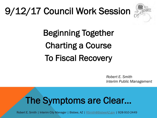# 9/12/17 Council Work Session



Beginning Together Charting a Course To Fiscal Recovery

> *Robert E. Smith Interim Public Management*

### The Symptoms are Clear…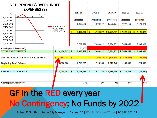| <b>NET REVENUES OVER/UNDER</b>                              |                                                   |    |                      |    |            |              |              |   |             |
|-------------------------------------------------------------|---------------------------------------------------|----|----------------------|----|------------|--------------|--------------|---|-------------|
| <b>EXPENSES (3)</b><br>\$-                                  |                                                   |    | 2017-18              |    | 2018-19    | 2019-20      | 2020-21      |   | 2021-22     |
| $\Omega$<br>5<br>4<br>6<br>\$(100,000)<br>\$(200,000)       | <b>NET REVENUES</b><br>OVER/UNDER<br>EXPENSES (3) |    | Projected            |    | Projected  | Projected    | Projected    |   | Projected   |
| \$ (300,000)                                                |                                                   |    | 6,807,571            |    | 6,902,877  | 6,999,517    | 7,097,511    |   | 7,196,876   |
| \$(400,000)<br>\$ (500,000)<br>\$(600,000)                  |                                                   |    | 6,807,571            | S  | 6,902,877  | \$6,999,517  | \$7,097,511  |   | \$7,196,876 |
| \$(700,000)<br>\$ (800,000)<br>\$(900,000)                  |                                                   |    |                      |    |            |              |              |   |             |
|                                                             |                                                   |    | 6,707,571            |    | 7,009,412  | 7,324,835    | 7,654,453    |   | 7,998,903   |
| <b>Contingency Reserve (2)</b><br><b>TOTAL EXPENDITURES</b> | 6,420,247<br>\$                                   | \$ | 100,000<br>6,807,571 | \$ | 7,009,412  | \$7,324,835  | \$7,654,453  | s | 7,998,903   |
| NET REVENUES OVER/UNDER EXPENSES (3)                        | $(81,717)$ \$                                     |    |                      | \$ | (106, 535) | \$ (325,318) | \$ (556,942) | s | (802, 028)  |
| <b>Beginning Fund Balance</b>                               | ,800,000                                          |    | 1,718,283            |    | 1,718,283  | 1,611,748    | 1,286,430    |   | 729,488     |
| <b>ENDING FUND BALANCE</b>                                  | 1,718,283                                         | \$ | 1,718,283            | \$ | 1,611,748  | \$1,286,430  | 729,488<br>s | s | (72, 539)   |
|                                                             |                                                   |    |                      |    |            |              |              |   |             |
| <b>Contingency Reserve %</b>                                |                                                   |    | 1%                   |    | 0%         | 0%           | 0%           |   | 0%          |

### GF In the RED every year Io Contingency; No Funds by 2022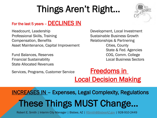# Things Aren't Right…



#### For the last 5 years - **DECLINES IN**

Headcount, Leadership Development, Local Investment Professional Skills, Training Sustainable Business Growth Compensation, Benefits **Relationships & Partnering** Asset Maintenance, Capital Improvement Cities, County

State Allocated Revenues

State & Fed. Agencies Fund Balances, Reserves **COG, Comm. College** Financial Sustainability Local Business Sectors

#### Services, Programs, Customer Service **Freedoms in** Local Decision Making

#### INCREASES IN – Expenses, Legal Complexity, Regulations These Things MUST Change…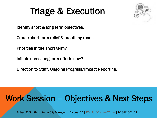### Triage & Execution



Identify short & long term objectives.

Create short term relief & breathing room.

Priorities in the short term?

Initiate some long term efforts now?

Direction to Staff, Ongoing Progress/Impact Reporting.

#### Work Session – Objectives & Next Steps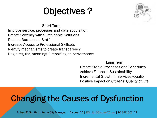## Objectives ?



#### Short Term

Improve service, processes and data acquisition Create Solvency with Sustainable Solutions Reduce Burdens on Staff Increase Access to Professional Skillsets Identify mechanisms to create transparency Begin regular, meaningful reporting on performance

#### **Long Term**

Create Stable Processes and Schedules Achieve Financial Sustainability Incremental Growth in Services/Quality Positive Impact on Citizens' Quality of Life

#### Changing the Causes of Dysfunction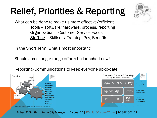# Relief, Priorities & Reporting



What can be done to make us more effective/efficient Tools – software/hardware, process, reporting **Organization** – Customer Service Focus **Staffing** – Skillsets, Training, Pay, Benefits

In the Short Term, what's most important?

Should some longer range efforts be launched now?

IT Services. Software & Data Mgt. Overview Vacancy Risk Mgt./Productivity/Effectiveness  $\mathcal{R}$ Comp. & Class **Accuracy/Proces** Payroll & Online Bill Pay **IT Services** Compliance/Mgt. **Software & Data Accounts Payable** Fees & Rates **Cost Control Administration of** Agenda Mgt. Codes Procurement **Decisions/Projects** iscal Tools Cust. Service **Financial Reports Public Safety** Pub. **Civic Engagement** Volunteers **PD FD Emergency Resp.** Transparency Wks. Infrastructure Mgt. Grants **Ext. Resources** Robert E. Smith | Interim City Manager | Bisbee, AZ | RSmith@BisbeeAZ.gov | 928-910-2449 obert E. Smith | Interim City Manager | Bisbee, AZ | BSmiths **ROV | 928-910-2449** 

Reporting/Communications to keep everyone up-to-date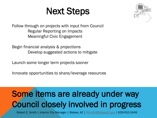#### Next Steps



Follow through on projects with input from Council Regular Reporting on Impacts Meaningful Civic Engagement

Begin financial analysis & projections Develop suggested actions to mitigate

Launch some longer term projects sooner

Innovate opportunities to share/leverage resources

#### Some items are already under way Council closely involved in progress